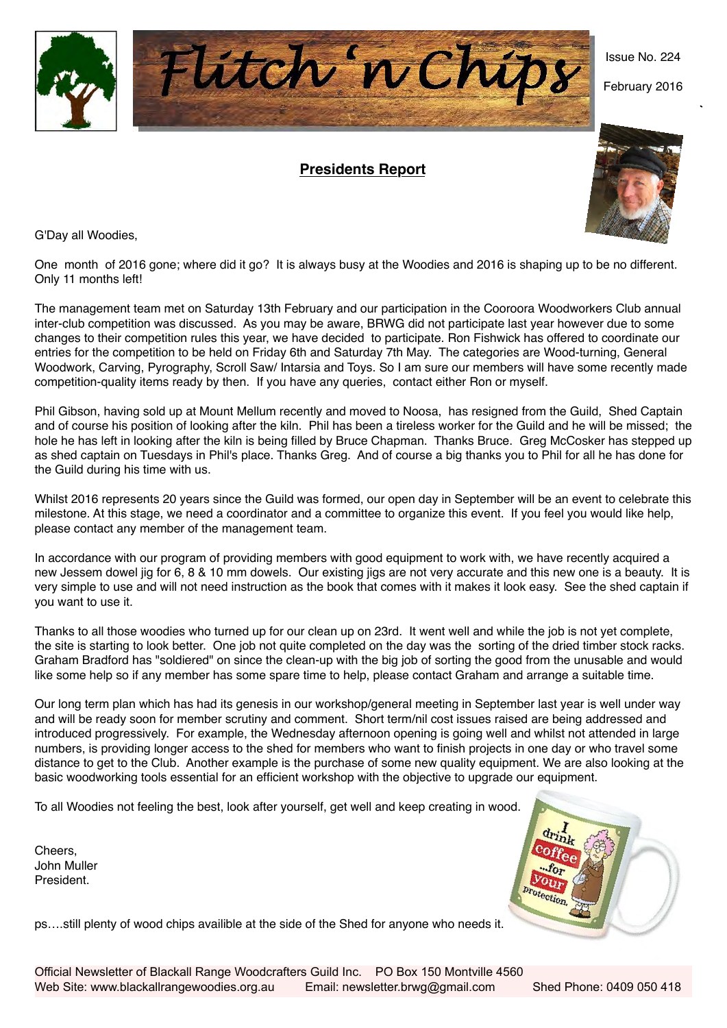

## **Presidents Report**



Issue No. 224

February 2016

G'Day all Woodies,

One month of 2016 gone; where did it go? It is always busy at the Woodies and 2016 is shaping up to be no different. Only 11 months left!

The management team met on Saturday 13th February and our participation in the Cooroora Woodworkers Club annual inter-club competition was discussed. As you may be aware, BRWG did not participate last year however due to some changes to their competition rules this year, we have decided to participate. Ron Fishwick has offered to coordinate our entries for the competition to be held on Friday 6th and Saturday 7th May. The categories are Wood-turning, General Woodwork, Carving, Pyrography, Scroll Saw/ Intarsia and Toys. So I am sure our members will have some recently made competition-quality items ready by then. If you have any queries, contact either Ron or myself.

Phil Gibson, having sold up at Mount Mellum recently and moved to Noosa, has resigned from the Guild, Shed Captain and of course his position of looking after the kiln. Phil has been a tireless worker for the Guild and he will be missed; the hole he has left in looking after the kiln is being filled by Bruce Chapman. Thanks Bruce. Greg McCosker has stepped up as shed captain on Tuesdays in Phil's place. Thanks Greg. And of course a big thanks you to Phil for all he has done for the Guild during his time with us.

Whilst 2016 represents 20 years since the Guild was formed, our open day in September will be an event to celebrate this milestone. At this stage, we need a coordinator and a committee to organize this event. If you feel you would like help, please contact any member of the management team.

In accordance with our program of providing members with good equipment to work with, we have recently acquired a new Jessem dowel jig for 6, 8 & 10 mm dowels. Our existing jigs are not very accurate and this new one is a beauty. It is very simple to use and will not need instruction as the book that comes with it makes it look easy. See the shed captain if you want to use it.

Thanks to all those woodies who turned up for our clean up on 23rd. It went well and while the job is not yet complete, the site is starting to look better. One job not quite completed on the day was the sorting of the dried timber stock racks. Graham Bradford has "soldiered" on since the clean-up with the big job of sorting the good from the unusable and would like some help so if any member has some spare time to help, please contact Graham and arrange a suitable time.

Our long term plan which has had its genesis in our workshop/general meeting in September last year is well under way and will be ready soon for member scrutiny and comment. Short term/nil cost issues raised are being addressed and introduced progressively. For example, the Wednesday afternoon opening is going well and whilst not attended in large numbers, is providing longer access to the shed for members who want to finish projects in one day or who travel some distance to get to the Club. Another example is the purchase of some new quality equipment. We are also looking at the basic woodworking tools essential for an efficient workshop with the objective to upgrade our equipment.

To all Woodies not feeling the best, look after yourself, get well and keep creating in wood.

Cheers, John Muller President.

ps….still plenty of wood chips availible at the side of the Shed for anyone who needs it.

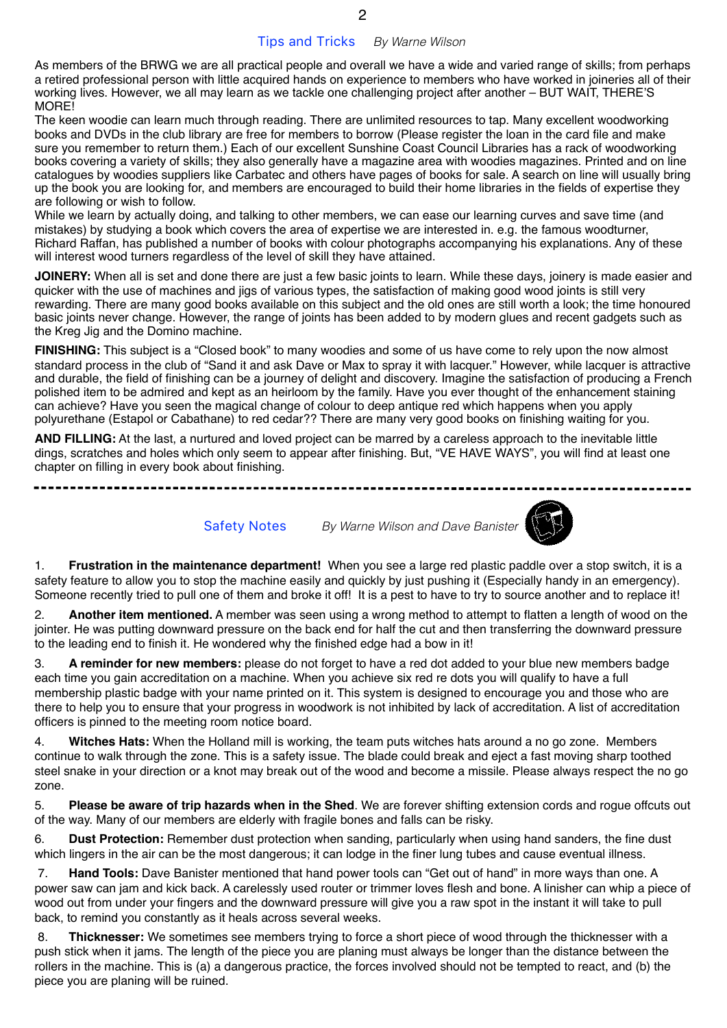As members of the BRWG we are all practical people and overall we have a wide and varied range of skills; from perhaps a retired professional person with little acquired hands on experience to members who have worked in joineries all of their working lives. However, we all may learn as we tackle one challenging project after another – BUT WAIT, THERE'S MORE!

The keen woodie can learn much through reading. There are unlimited resources to tap. Many excellent woodworking books and DVDs in the club library are free for members to borrow (Please register the loan in the card file and make sure you remember to return them.) Each of our excellent Sunshine Coast Council Libraries has a rack of woodworking books covering a variety of skills; they also generally have a magazine area with woodies magazines. Printed and on line catalogues by woodies suppliers like Carbatec and others have pages of books for sale. A search on line will usually bring up the book you are looking for, and members are encouraged to build their home libraries in the fields of expertise they are following or wish to follow.

While we learn by actually doing, and talking to other members, we can ease our learning curves and save time (and mistakes) by studying a book which covers the area of expertise we are interested in. e.g. the famous woodturner, Richard Raffan, has published a number of books with colour photographs accompanying his explanations. Any of these will interest wood turners regardless of the level of skill they have attained.

**JOINERY:** When all is set and done there are just a few basic joints to learn. While these days, joinery is made easier and quicker with the use of machines and jigs of various types, the satisfaction of making good wood joints is still very rewarding. There are many good books available on this subject and the old ones are still worth a look; the time honoured basic joints never change. However, the range of joints has been added to by modern glues and recent gadgets such as the Kreg Jig and the Domino machine.

**FINISHING:** This subject is a "Closed book" to many woodies and some of us have come to rely upon the now almost standard process in the club of "Sand it and ask Dave or Max to spray it with lacquer." However, while lacquer is attractive and durable, the field of finishing can be a journey of delight and discovery. Imagine the satisfaction of producing a French polished item to be admired and kept as an heirloom by the family. Have you ever thought of the enhancement staining can achieve? Have you seen the magical change of colour to deep antique red which happens when you apply polyurethane (Estapol or Cabathane) to red cedar?? There are many very good books on finishing waiting for you.

**AND FILLING:** At the last, a nurtured and loved project can be marred by a careless approach to the inevitable little dings, scratches and holes which only seem to appear after finishing. But, "VE HAVE WAYS", you will find at least one chapter on filling in every book about finishing.

Safety Notes *By Warne Wilson and Dave Banister*



1. **Frustration in the maintenance department!** When you see a large red plastic paddle over a stop switch, it is a safety feature to allow you to stop the machine easily and quickly by just pushing it (Especially handy in an emergency). Someone recently tried to pull one of them and broke it off! It is a pest to have to try to source another and to replace it!

2. **Another item mentioned.** A member was seen using a wrong method to attempt to flatten a length of wood on the jointer. He was putting downward pressure on the back end for half the cut and then transferring the downward pressure to the leading end to finish it. He wondered why the finished edge had a bow in it!

3. **A reminder for new members:** please do not forget to have a red dot added to your blue new members badge each time you gain accreditation on a machine. When you achieve six red re dots you will qualify to have a full membership plastic badge with your name printed on it. This system is designed to encourage you and those who are there to help you to ensure that your progress in woodwork is not inhibited by lack of accreditation. A list of accreditation officers is pinned to the meeting room notice board.

4. **Witches Hats:** When the Holland mill is working, the team puts witches hats around a no go zone. Members continue to walk through the zone. This is a safety issue. The blade could break and eject a fast moving sharp toothed steel snake in your direction or a knot may break out of the wood and become a missile. Please always respect the no go zone.

5. **Please be aware of trip hazards when in the Shed**. We are forever shifting extension cords and rogue offcuts out of the way. Many of our members are elderly with fragile bones and falls can be risky.

6. **Dust Protection:** Remember dust protection when sanding, particularly when using hand sanders, the fine dust which lingers in the air can be the most dangerous; it can lodge in the finer lung tubes and cause eventual illness.

 7. **Hand Tools:** Dave Banister mentioned that hand power tools can "Get out of hand" in more ways than one. A power saw can jam and kick back. A carelessly used router or trimmer loves flesh and bone. A linisher can whip a piece of wood out from under your fingers and the downward pressure will give you a raw spot in the instant it will take to pull back, to remind you constantly as it heals across several weeks.

 8. **Thicknesser:** We sometimes see members trying to force a short piece of wood through the thicknesser with a push stick when it jams. The length of the piece you are planing must always be longer than the distance between the rollers in the machine. This is (a) a dangerous practice, the forces involved should not be tempted to react, and (b) the piece you are planing will be ruined.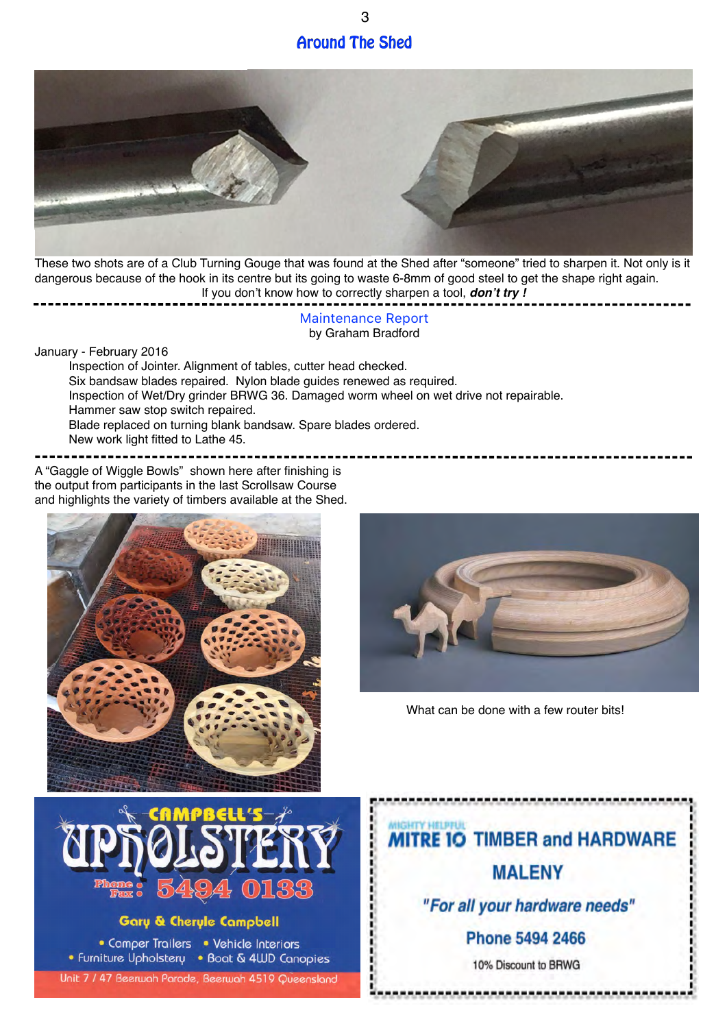## **Around The Shed**

3



These two shots are of a Club Turning Gouge that was found at the Shed after "someone" tried to sharpen it. Not only is it dangerous because of the hook in its centre but its going to waste 6-8mm of good steel to get the shape right again. If you don't know how to correctly sharpen a tool, *don't try !*

> Maintenance Report by Graham Bradford

January - February 2016

Inspection of Jointer. Alignment of tables, cutter head checked. Six bandsaw blades repaired. Nylon blade guides renewed as required. Inspection of Wet/Dry grinder BRWG 36. Damaged worm wheel on wet drive not repairable. Hammer saw stop switch repaired. Blade replaced on turning blank bandsaw. Spare blades ordered. New work light fitted to Lathe 45.

A "Gaggle of Wiggle Bowls" shown here after finishing is the output from participants in the last Scrollsaw Course and highlights the variety of timbers available at the Shed.





What can be done with a few router bits!



## **Gary & Cheryle Campbell**

• Camper Trailers • Vehicle Interiors • Furniture Upholstery • Boat & 4WD Canopies

Unit 7 / 47 Beerwah Parade, Beerwah 4519 Queensland

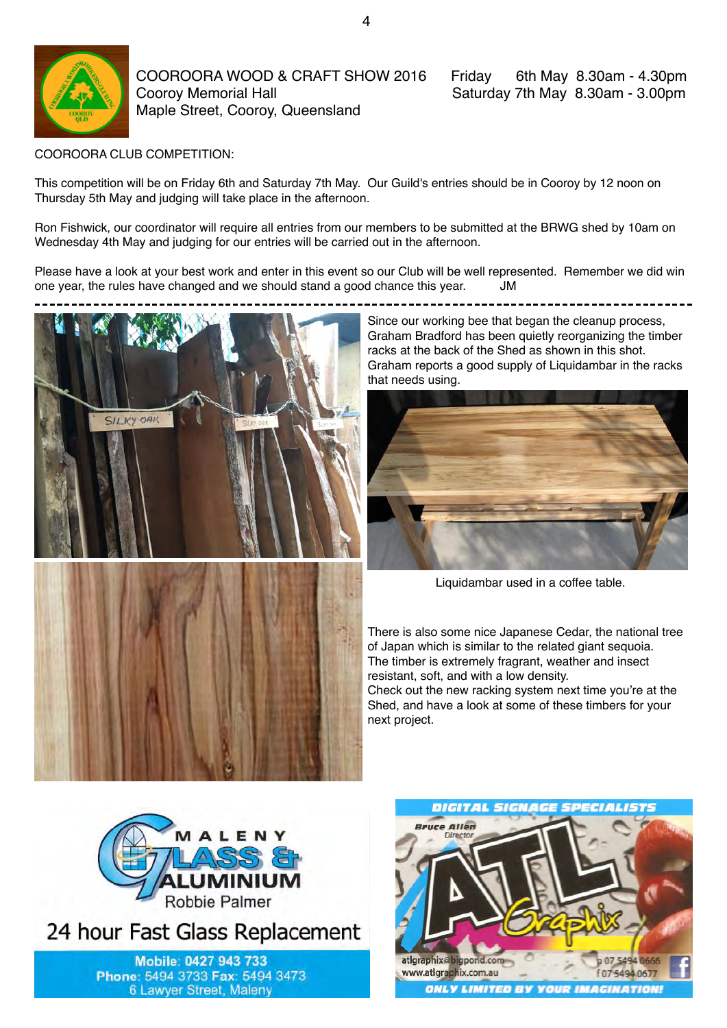

COOROORA WOOD & CRAFT SHOW 2016 Friday 6th May 8.30am - 4.30pm Cooroy Memorial Hall **Saturday 7th May 8.30am - 3.00pm** Maple Street, Cooroy, Queensland

COOROORA CLUB COMPETITION:

This competition will be on Friday 6th and Saturday 7th May. Our Guild's entries should be in Cooroy by 12 noon on Thursday 5th May and judging will take place in the afternoon.

Ron Fishwick, our coordinator will require all entries from our members to be submitted at the BRWG shed by 10am on Wednesday 4th May and judging for our entries will be carried out in the afternoon.

Please have a look at your best work and enter in this event so our Club will be well represented. Remember we did win one year, the rules have changed and we should stand a good chance this year. JM



Since our working bee that began the cleanup process, Graham Bradford has been quietly reorganizing the timber racks at the back of the Shed as shown in this shot. Graham reports a good supply of Liquidambar in the racks that needs using.



Liquidambar used in a coffee table.

There is also some nice Japanese Cedar, the national tree of Japan which is similar to the related giant sequoia. The timber is extremely fragrant, weather and insect resistant, soft, and with a low density.

Check out the new racking system next time you're at the Shed, and have a look at some of these timbers for your next project.



24 hour Fast Glass Replacement

Mobile: 0427 943 733 Phone: 5494 3733 Fax: 5494 3473 6 Lawyer Street, Maleny

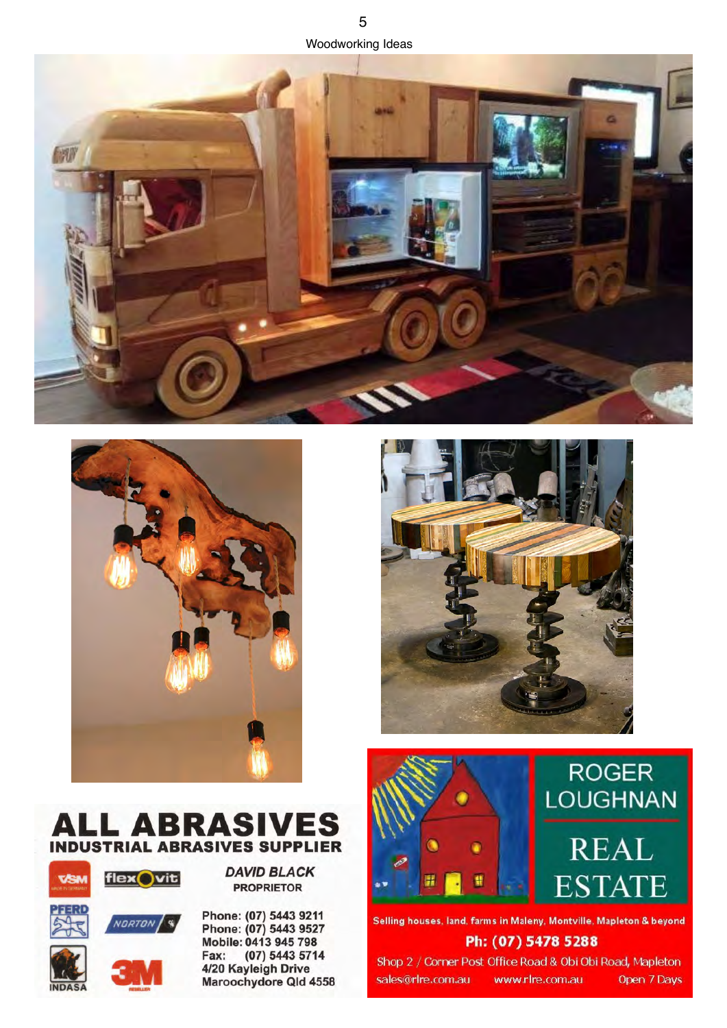











NORTON S



Phone: (07) 5443 9211 Phone: (07) 5443 9527 Mobile: 0413 945 798 (07) 5443 5714 Fax: 4/20 Kayleigh Drive Maroochydore Qld 4558





Selling houses, land, farms in Maleny, Montville, Mapleton & beyond Ph: (07) 5478 5288

Shop 2 / Corner Post Office Road & Obi Obi Road, Mapleton sales@rlre.com.au

www.rlre.com.au Open 7 Days

**INDAS**